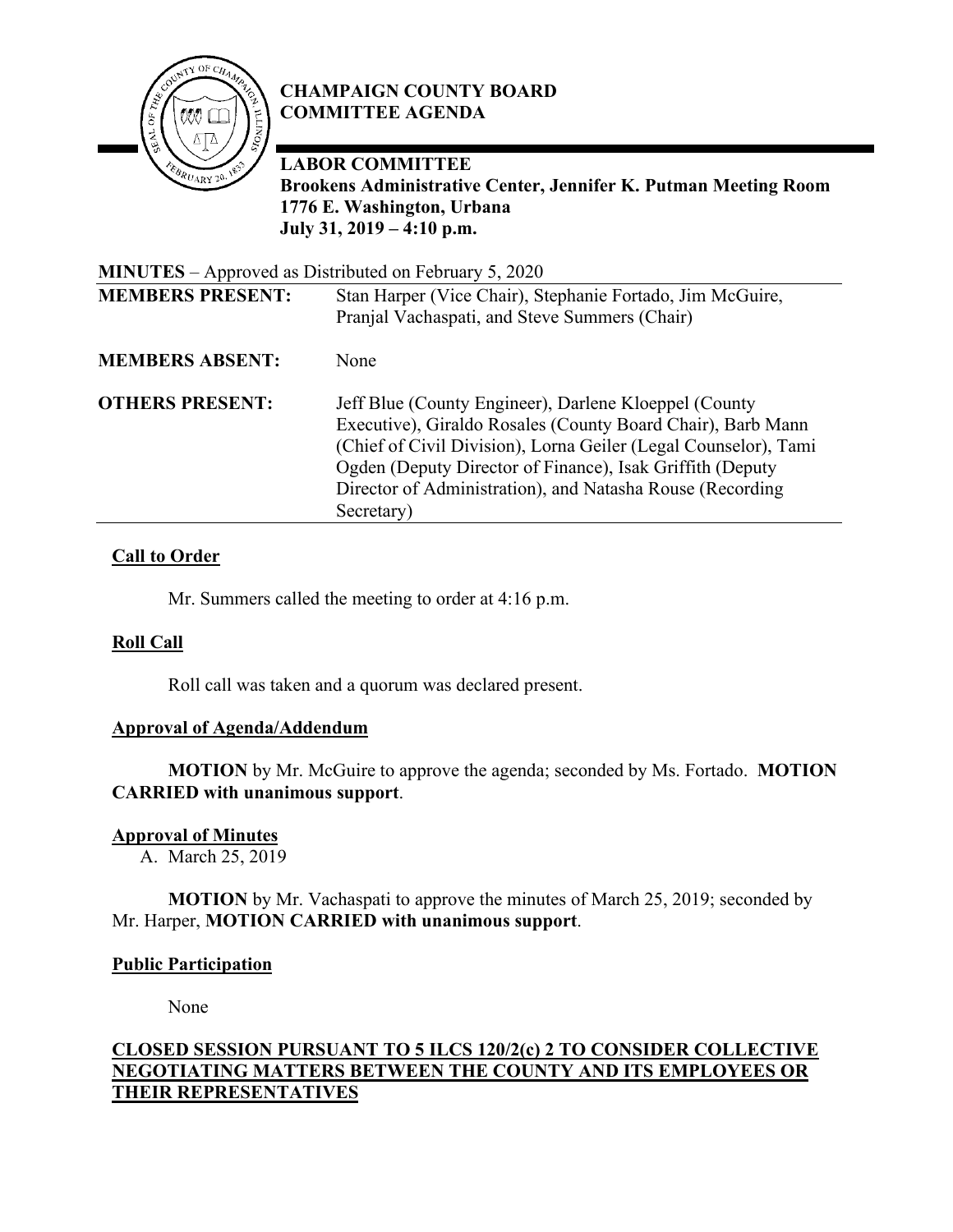

# **CHAMPAIGN COUNTY BOARD COMMITTEE AGENDA**

**LABOR COMMITTEE** 

**Brookens Administrative Center, Jennifer K. Putman Meeting Room 1776 E. Washington, Urbana July 31, 2019 – 4:10 p.m.**

| <b>MINUTES</b> – Approved as Distributed on February 5, 2020 |                                                                                                                                |
|--------------------------------------------------------------|--------------------------------------------------------------------------------------------------------------------------------|
| <b>MEMBERS PRESENT:</b>                                      | Stan Harper (Vice Chair), Stephanie Fortado, Jim McGuire,<br>Pranjal Vachaspati, and Steve Summers (Chair)                     |
| <b>MEMBERS ABSENT:</b>                                       | None                                                                                                                           |
|                                                              |                                                                                                                                |
| <b>OTHERS PRESENT:</b>                                       | Jeff Blue (County Engineer), Darlene Kloeppel (County                                                                          |
|                                                              | Executive), Giraldo Rosales (County Board Chair), Barb Mann<br>(Chief of Civil Division), Lorna Geiler (Legal Counselor), Tami |
|                                                              | Ogden (Deputy Director of Finance), Isak Griffith (Deputy                                                                      |
|                                                              | Director of Administration), and Natasha Rouse (Recording                                                                      |
|                                                              | Secretary)                                                                                                                     |

## **Call to Order**

Mr. Summers called the meeting to order at 4:16 p.m.

## **Roll Call**

Roll call was taken and a quorum was declared present.

## **Approval of Agenda/Addendum**

**MOTION** by Mr. McGuire to approve the agenda; seconded by Ms. Fortado. **MOTION CARRIED with unanimous support**.

#### **Approval of Minutes**

A. March 25, 2019

**MOTION** by Mr. Vachaspati to approve the minutes of March 25, 2019; seconded by Mr. Harper, **MOTION CARRIED with unanimous support**.

#### **Public Participation**

None

## **CLOSED SESSION PURSUANT TO 5 ILCS 120/2(c) 2 TO CONSIDER COLLECTIVE NEGOTIATING MATTERS BETWEEN THE COUNTY AND ITS EMPLOYEES OR THEIR REPRESENTATIVES**